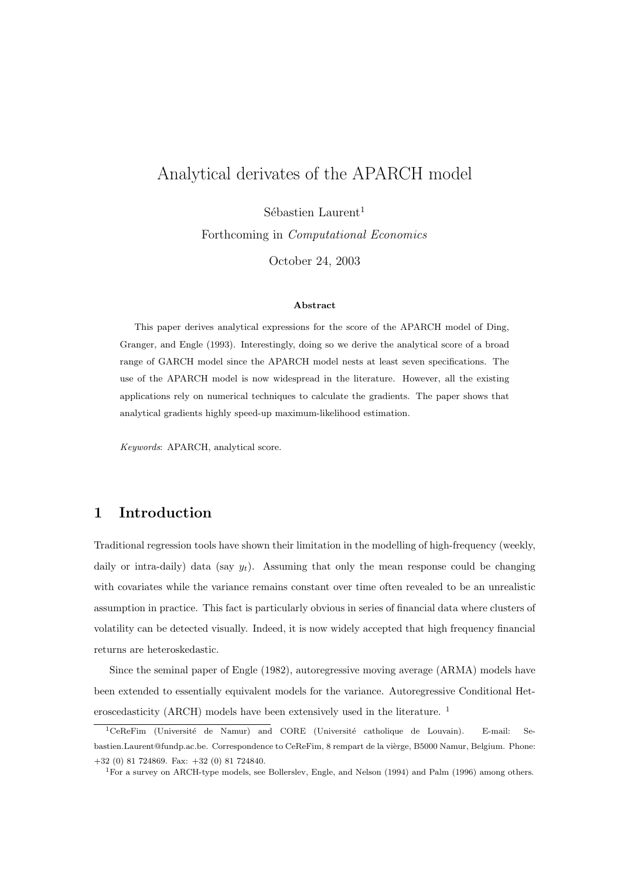# Analytical derivates of the APARCH model

 $Sébastien Laurent<sup>1</sup>$ 

Forthcoming in Computational Economics

October 24, 2003

#### Abstract

This paper derives analytical expressions for the score of the APARCH model of Ding, Granger, and Engle (1993). Interestingly, doing so we derive the analytical score of a broad range of GARCH model since the APARCH model nests at least seven specifications. The use of the APARCH model is now widespread in the literature. However, all the existing applications rely on numerical techniques to calculate the gradients. The paper shows that analytical gradients highly speed-up maximum-likelihood estimation.

Keywords: APARCH, analytical score.

### 1 Introduction

Traditional regression tools have shown their limitation in the modelling of high-frequency (weekly, daily or intra-daily) data (say  $y_t$ ). Assuming that only the mean response could be changing with covariates while the variance remains constant over time often revealed to be an unrealistic assumption in practice. This fact is particularly obvious in series of financial data where clusters of volatility can be detected visually. Indeed, it is now widely accepted that high frequency financial returns are heteroskedastic.

Since the seminal paper of Engle (1982), autoregressive moving average (ARMA) models have been extended to essentially equivalent models for the variance. Autoregressive Conditional Heteroscedasticity (ARCH) models have been extensively used in the literature.<sup>1</sup>

<sup>&</sup>lt;sup>1</sup>CeReFim (Université de Namur) and CORE (Université catholique de Louvain). E-mail: Sebastien.Laurent@fundp.ac.be. Correspondence to CeReFim, 8 rempart de la vièrge, B5000 Namur, Belgium. Phone: +32 (0) 81 724869. Fax: +32 (0) 81 724840.

<sup>1</sup>For a survey on ARCH-type models, see Bollerslev, Engle, and Nelson (1994) and Palm (1996) among others.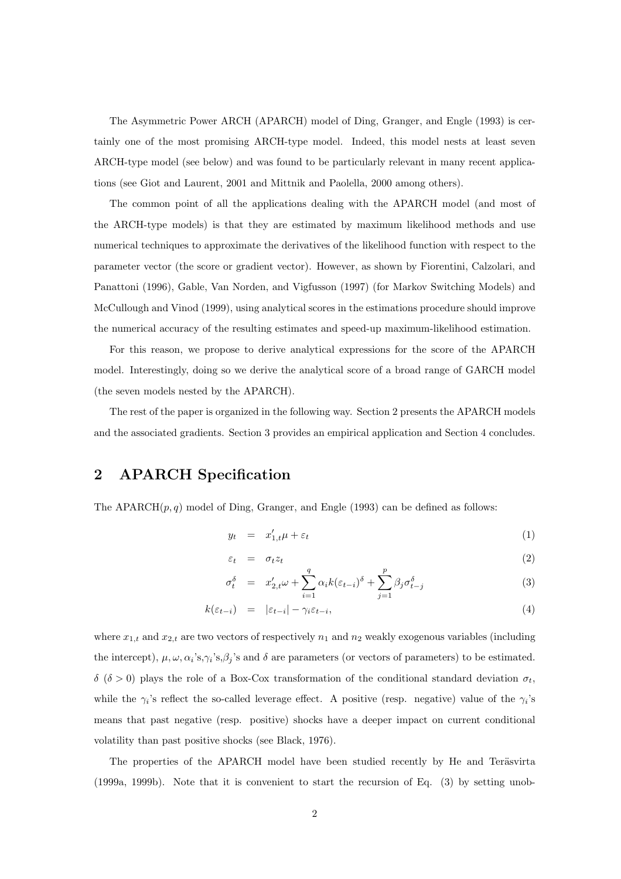The Asymmetric Power ARCH (APARCH) model of Ding, Granger, and Engle (1993) is certainly one of the most promising ARCH-type model. Indeed, this model nests at least seven ARCH-type model (see below) and was found to be particularly relevant in many recent applications (see Giot and Laurent, 2001 and Mittnik and Paolella, 2000 among others).

The common point of all the applications dealing with the APARCH model (and most of the ARCH-type models) is that they are estimated by maximum likelihood methods and use numerical techniques to approximate the derivatives of the likelihood function with respect to the parameter vector (the score or gradient vector). However, as shown by Fiorentini, Calzolari, and Panattoni (1996), Gable, Van Norden, and Vigfusson (1997) (for Markov Switching Models) and McCullough and Vinod (1999), using analytical scores in the estimations procedure should improve the numerical accuracy of the resulting estimates and speed-up maximum-likelihood estimation.

For this reason, we propose to derive analytical expressions for the score of the APARCH model. Interestingly, doing so we derive the analytical score of a broad range of GARCH model (the seven models nested by the APARCH).

The rest of the paper is organized in the following way. Section 2 presents the APARCH models and the associated gradients. Section 3 provides an empirical application and Section 4 concludes.

## 2 APARCH Specification

The APARCH $(p, q)$  model of Ding, Granger, and Engle (1993) can be defined as follows:

$$
y_t = x'_{1,t}\mu + \varepsilon_t \tag{1}
$$

$$
\varepsilon_t = \sigma_t z_t \tag{2}
$$

$$
\sigma_t^{\delta} = x'_{2,t}\omega + \sum_{i=1}^{q} \alpha_i k (\varepsilon_{t-i})^{\delta} + \sum_{j=1}^{p} \beta_j \sigma_{t-j}^{\delta}
$$
\n(3)

$$
k(\varepsilon_{t-i}) = |\varepsilon_{t-i}| - \gamma_i \varepsilon_{t-i}, \tag{4}
$$

where  $x_{1,t}$  and  $x_{2,t}$  are two vectors of respectively  $n_1$  and  $n_2$  weakly exogenous variables (including the intercept),  $\mu, \omega, \alpha_i$ 's, $\gamma_i$ 's, $\beta_j$ 's and  $\delta$  are parameters (or vectors of parameters) to be estimated.  $δ$  (δ > 0) plays the role of a Box-Cox transformation of the conditional standard deviation  $σ_t$ , while the  $\gamma_i$ 's reflect the so-called leverage effect. A positive (resp. negative) value of the  $\gamma_i$ 's means that past negative (resp. positive) shocks have a deeper impact on current conditional volatility than past positive shocks (see Black, 1976).

The properties of the APARCH model have been studied recently by He and Teräsvirta (1999a, 1999b). Note that it is convenient to start the recursion of Eq. (3) by setting unob-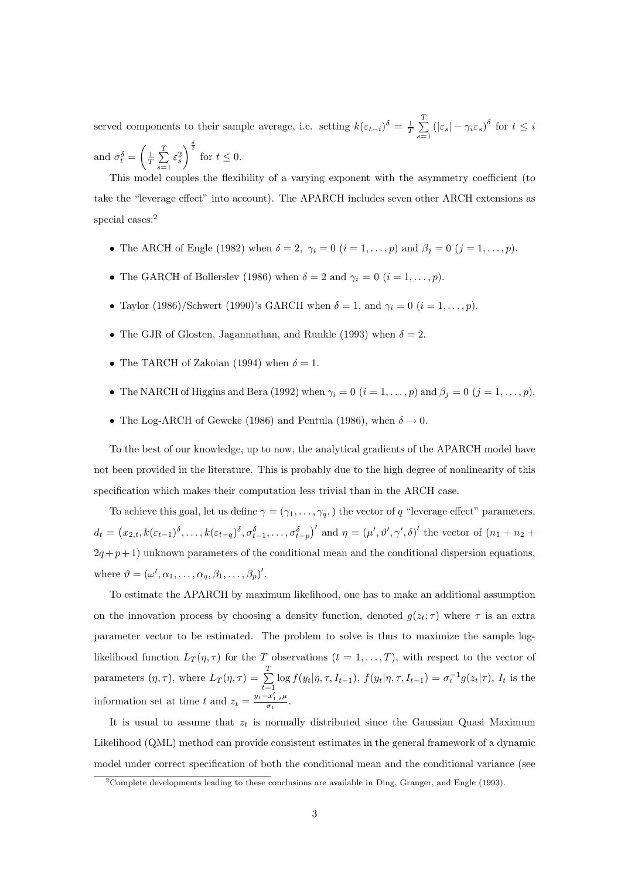served components to their sample average, i.e. setting  $k(\varepsilon_{t-i})^{\delta} = \frac{1}{T}$  $\Gamma$  $\sum_{s=1}^{\infty} (|\varepsilon_s| - \gamma_i \varepsilon_s)^{\delta}$  for  $t \leq i$ and  $\sigma_t^{\delta} =$  $\overline{a}$  $\frac{1}{T}$  $\frac{T}{\sqrt{2}}$  $\varepsilon_s^2$  $\int_{0}^{\frac{\delta}{2}}$  for  $t \leq 0$ .

This model couples the flexibility of a varying exponent with the asymmetry coefficient (to take the "leverage effect" into account). The APARCH includes seven other ARCH extensions as special cases:<sup>2</sup>

- The ARCH of Engle (1982) when  $\delta = 2$ ,  $\gamma_i = 0$   $(i = 1, \ldots, p)$  and  $\beta_j = 0$   $(j = 1, \ldots, p)$ .
- The GARCH of Bollerslev (1986) when  $\delta = 2$  and  $\gamma_i = 0$   $(i = 1, \ldots, p)$ .
- Taylor (1986)/Schwert (1990)'s GARCH when  $\delta = 1$ , and  $\gamma_i = 0$   $(i = 1, \ldots, p)$ .
- The GJR of Glosten, Jagannathan, and Runkle (1993) when  $\delta = 2$ .
- The TARCH of Zakoian (1994) when  $\delta = 1$ .

 $s=1$ 

- The NARCH of Higgins and Bera (1992) when  $\gamma_i = 0$   $(i = 1, \ldots, p)$  and  $\beta_j = 0$   $(j = 1, \ldots, p)$ .
- The Log-ARCH of Geweke (1986) and Pentula (1986), when  $\delta \rightarrow 0$ .

To the best of our knowledge, up to now, the analytical gradients of the APARCH model have not been provided in the literature. This is probably due to the high degree of nonlinearity of this specification which makes their computation less trivial than in the ARCH case.

To achieve this goal, let us define  $\gamma = (\gamma_1, \dots, \gamma_q)$ , the vector of q "leverage effect" parameters,  $d_t =$ ¡  $x_{2,t}, k(\varepsilon_{t-1})^\delta, \ldots, k(\varepsilon_{t-q})^\delta, \sigma_{t-1}^\delta, \ldots, \sigma_{t-p}^\delta$ )' and  $\eta = (\mu', \vartheta', \gamma', \delta)'$  the vector of  $(n_1 + n_2 + \delta')$  $2q+p+1$ ) unknown parameters of the conditional mean and the conditional dispersion equations, where  $\vartheta = (\omega', \alpha_1, \ldots, \alpha_q, \beta_1, \ldots, \beta_p)'$ .

To estimate the APARCH by maximum likelihood, one has to make an additional assumption on the innovation process by choosing a density function, denoted  $g(z_t; \tau)$  where  $\tau$  is an extra parameter vector to be estimated. The problem to solve is thus to maximize the sample loglikelihood function  $L_T(\eta, \tau)$  for the T observations  $(t = 1, \ldots, T)$ , with respect to the vector of parameters  $(\eta, \tau)$ , where  $L_T(\eta, \tau) = \sum_{i=1}^T$  $\sum_{t=1}^{n} \log f(y_t | \eta, \tau, I_{t-1}), f(y_t | \eta, \tau, I_{t-1}) = \sigma_t^{-1} g(z_t | \tau), I_t$  is the information set at time t and  $z_t = \frac{y_t - x'_{1,t}\mu}{\sigma_t}$  $\frac{x_{1,t}\mu}{\sigma_t}$ .

It is usual to assume that  $z_t$  is normally distributed since the Gaussian Quasi Maximum Likelihood (QML) method can provide consistent estimates in the general framework of a dynamic model under correct specification of both the conditional mean and the conditional variance (see

<sup>2</sup>Complete developments leading to these conclusions are available in Ding, Granger, and Engle (1993).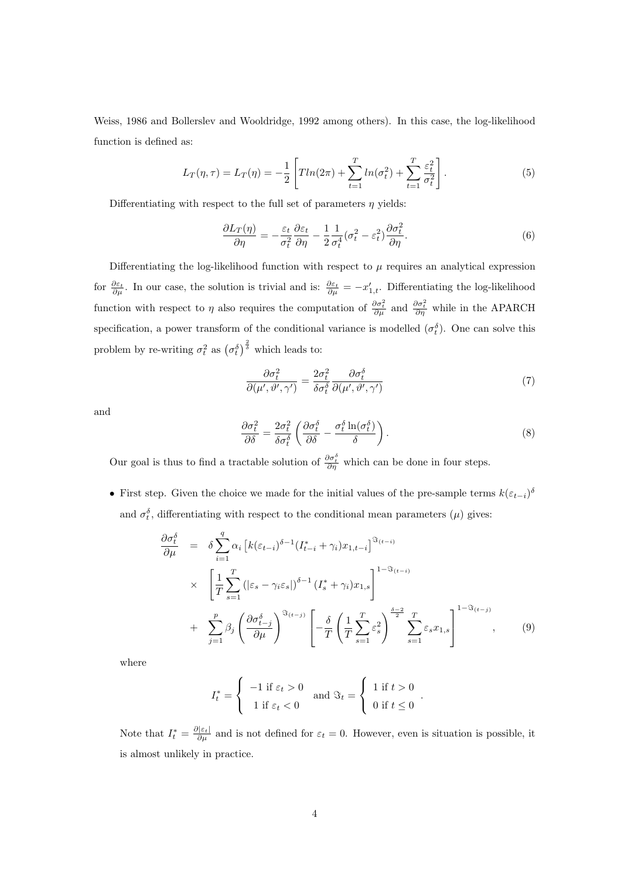Weiss, 1986 and Bollerslev and Wooldridge, 1992 among others). In this case, the log-likelihood function is defined as:

$$
L_T(\eta, \tau) = L_T(\eta) = -\frac{1}{2} \left[ T \ln(2\pi) + \sum_{t=1}^T \ln(\sigma_t^2) + \sum_{t=1}^T \frac{\varepsilon_t^2}{\sigma_t^2} \right].
$$
 (5)

Differentiating with respect to the full set of parameters  $\eta$  yields:

$$
\frac{\partial L_T(\eta)}{\partial \eta} = -\frac{\varepsilon_t}{\sigma_t^2} \frac{\partial \varepsilon_t}{\partial \eta} - \frac{1}{2} \frac{1}{\sigma_t^4} (\sigma_t^2 - \varepsilon_t^2) \frac{\partial \sigma_t^2}{\partial \eta}.
$$
\n(6)

Differentiating the log-likelihood function with respect to  $\mu$  requires an analytical expression for  $\frac{\partial \varepsilon_t}{\partial \mu}$ . In our case, the solution is trivial and is:  $\frac{\partial \varepsilon_t}{\partial \mu} = -x'_{1,t}$ . Differentiating the log-likelihood function with respect to  $\eta$  also requires the computation of  $\frac{\partial \sigma_t^2}{\partial \mu}$  and  $\frac{\partial \sigma_t^2}{\partial \eta}$  while in the APARCH specification, a power transform of the conditional variance is modelled  $(\sigma_t^{\delta})$ . One can solve this problem by re-writing  $\sigma_t^2$  as  $(\sigma_t^{\delta})$  $\frac{2}{3}$  $\delta$  which leads to:

$$
\frac{\partial \sigma_t^2}{\partial(\mu', \vartheta', \gamma')} = \frac{2\sigma_t^2}{\delta \sigma_t^{\delta}} \frac{\partial \sigma_t^{\delta}}{\partial(\mu', \vartheta', \gamma')} \tag{7}
$$

and

$$
\frac{\partial \sigma_t^2}{\partial \delta} = \frac{2\sigma_t^2}{\delta \sigma_t^{\delta}} \left( \frac{\partial \sigma_t^{\delta}}{\partial \delta} - \frac{\sigma_t^{\delta} \ln(\sigma_t^{\delta})}{\delta} \right). \tag{8}
$$

.

Our goal is thus to find a tractable solution of  $\frac{\partial \sigma_t^{\delta}}{\partial \eta}$  which can be done in four steps.

• First step. Given the choice we made for the initial values of the pre-sample terms  $k(\varepsilon_{t-i})^{\delta}$ and  $\sigma_t^{\delta}$ , differentiating with respect to the conditional mean parameters  $(\mu)$  gives:

$$
\frac{\partial \sigma_t^{\delta}}{\partial \mu} = \delta \sum_{i=1}^q \alpha_i \left[ k(\varepsilon_{t-i})^{\delta-1} (I_{t-i}^* + \gamma_i) x_{1,t-i} \right]^{\Im_{(t-i)}}
$$
\n
$$
\times \left[ \frac{1}{T} \sum_{s=1}^T \left( |\varepsilon_s - \gamma_i \varepsilon_s| \right)^{\delta-1} (I_s^* + \gamma_i) x_{1,s} \right]^{1-\Im_{(t-i)}}
$$
\n
$$
+ \sum_{j=1}^p \beta_j \left( \frac{\partial \sigma_{t-j}^{\delta}}{\partial \mu} \right)^{\Im_{(t-j)}} \left[ -\frac{\delta}{T} \left( \frac{1}{T} \sum_{s=1}^T \varepsilon_s^2 \right)^{\frac{\delta-2}{2}} \sum_{s=1}^T \varepsilon_s x_{1,s} \right]^{1-\Im_{(t-j)}}
$$
\n(9)

where

$$
I_t^* = \begin{cases} -1 \text{ if } \varepsilon_t > 0 \\ 1 \text{ if } \varepsilon_t < 0 \end{cases} \text{ and } \Im_t = \begin{cases} 1 \text{ if } t > 0 \\ 0 \text{ if } t \le 0 \end{cases}
$$

Note that  $I_t^* = \frac{\partial |\varepsilon_t|}{\partial \mu}$  and is not defined for  $\varepsilon_t = 0$ . However, even is situation is possible, it is almost unlikely in practice.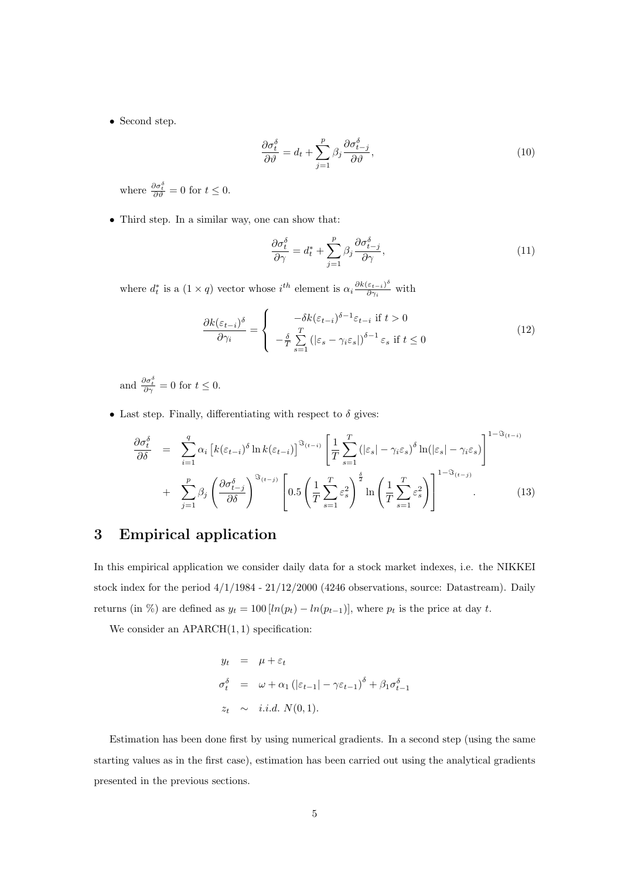• Second step.

$$
\frac{\partial \sigma_t^{\delta}}{\partial \vartheta} = d_t + \sum_{j=1}^p \beta_j \frac{\partial \sigma_{t-j}^{\delta}}{\partial \vartheta},\tag{10}
$$

where  $\frac{\partial \sigma_t^{\delta}}{\partial \vartheta} = 0$  for  $t \leq 0$ .

• Third step. In a similar way, one can show that:

$$
\frac{\partial \sigma_t^{\delta}}{\partial \gamma} = d_t^* + \sum_{j=1}^p \beta_j \frac{\partial \sigma_{t-j}^{\delta}}{\partial \gamma},\tag{11}
$$

where  $d_t^*$  is a  $(1 \times q)$  vector whose  $i^{th}$  element is  $\alpha_i \frac{\partial k(\varepsilon_{t-i})^{\delta}}{\partial \gamma_i}$  $\frac{\varepsilon_{t-i})^*}{\partial \gamma_i}$  with

$$
\frac{\partial k(\varepsilon_{t-i})^{\delta}}{\partial \gamma_i} = \begin{cases} -\delta k(\varepsilon_{t-i})^{\delta-1} \varepsilon_{t-i} \text{ if } t > 0\\ -\frac{\delta}{T} \sum_{s=1}^T \left( |\varepsilon_s - \gamma_i \varepsilon_s| \right)^{\delta-1} \varepsilon_s \text{ if } t \le 0 \end{cases}
$$
(12)

and  $\frac{\partial \sigma_t^{\delta}}{\partial \gamma} = 0$  for  $t \leq 0$ .

• Last step. Finally, differentiating with respect to  $\delta$  gives:

$$
\frac{\partial \sigma_t^{\delta}}{\partial \delta} = \sum_{i=1}^q \alpha_i \left[ k(\varepsilon_{t-i})^{\delta} \ln k(\varepsilon_{t-i}) \right]^{\Im_{(t-i)}} \left[ \frac{1}{T} \sum_{s=1}^T \left( |\varepsilon_s| - \gamma_i \varepsilon_s \right)^{\delta} \ln(|\varepsilon_s| - \gamma_i \varepsilon_s) \right]^{1-\Im_{(t-i)}} + \sum_{j=1}^p \beta_j \left( \frac{\partial \sigma_{t-j}^{\delta}}{\partial \delta} \right)^{\Im_{(t-j)}} \left[ 0.5 \left( \frac{1}{T} \sum_{s=1}^T \varepsilon_s^2 \right)^{\frac{\delta}{2}} \ln \left( \frac{1}{T} \sum_{s=1}^T \varepsilon_s^2 \right) \right]^{1-\Im_{(t-j)}}. \tag{13}
$$

# 3 Empirical application

In this empirical application we consider daily data for a stock market indexes, i.e. the NIKKEI stock index for the period 4/1/1984 - 21/12/2000 (4246 observations, source: Datastream). Daily returns (in %) are defined as  $y_t = 100 [ln(p_t) - ln(p_{t-1})]$ , where  $p_t$  is the price at day t.

We consider an  $APARCH(1, 1)$  specification:

$$
y_t = \mu + \varepsilon_t
$$
  
\n
$$
\sigma_t^{\delta} = \omega + \alpha_1 (|\varepsilon_{t-1}| - \gamma \varepsilon_{t-1})^{\delta} + \beta_1 \sigma_{t-1}^{\delta}
$$
  
\n
$$
z_t \sim i.i.d. N(0, 1).
$$

Estimation has been done first by using numerical gradients. In a second step (using the same starting values as in the first case), estimation has been carried out using the analytical gradients presented in the previous sections.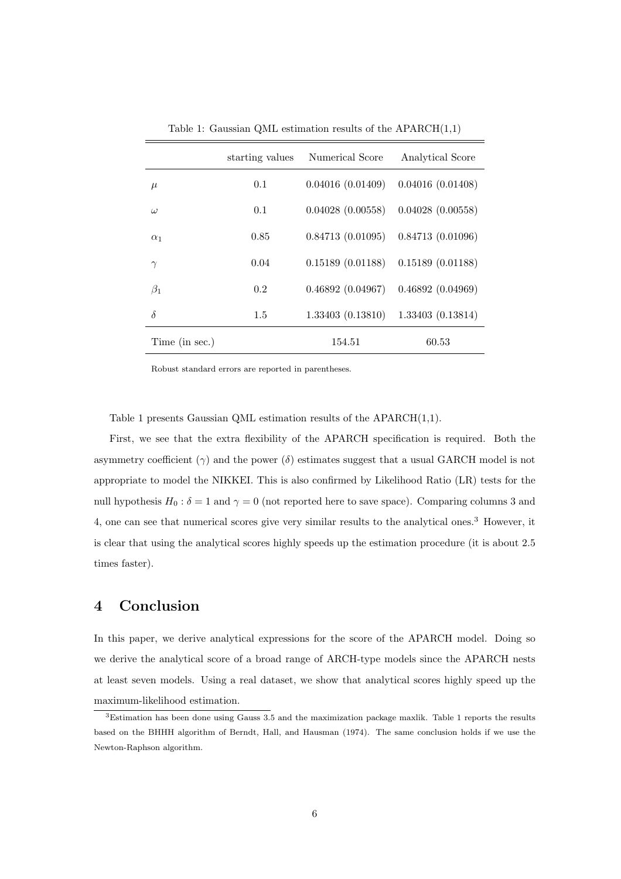|                | starting values | Numerical Score  | Analytical Score |
|----------------|-----------------|------------------|------------------|
| $\mu$          | 0.1             | 0.04016(0.01409) | 0.04016(0.01408) |
| $\omega$       | 0.1             | 0.04028(0.00558) | 0.04028(0.00558) |
| $\alpha_1$     | 0.85            | 0.84713(0.01095) | 0.84713(0.01096) |
| $\gamma$       | 0.04            | 0.15189(0.01188) | 0.15189(0.01188) |
| $\beta_1$      | 0.2             | 0.46892(0.04967) | 0.46892(0.04969) |
| $\delta$       | $1.5\,$         | 1.33403(0.13810) | 1.33403(0.13814) |
| Time (in sec.) |                 | 154.51           | 60.53            |

Table 1: Gaussian QML estimation results of the  $APARCH(1,1)$ 

Robust standard errors are reported in parentheses.

Table 1 presents Gaussian QML estimation results of the APARCH(1,1).

First, we see that the extra flexibility of the APARCH specification is required. Both the asymmetry coefficient  $(\gamma)$  and the power  $(\delta)$  estimates suggest that a usual GARCH model is not appropriate to model the NIKKEI. This is also confirmed by Likelihood Ratio (LR) tests for the null hypothesis  $H_0 : \delta = 1$  and  $\gamma = 0$  (not reported here to save space). Comparing columns 3 and 4, one can see that numerical scores give very similar results to the analytical ones.<sup>3</sup> However, it is clear that using the analytical scores highly speeds up the estimation procedure (it is about 2.5 times faster).

#### 4 Conclusion

In this paper, we derive analytical expressions for the score of the APARCH model. Doing so we derive the analytical score of a broad range of ARCH-type models since the APARCH nests at least seven models. Using a real dataset, we show that analytical scores highly speed up the maximum-likelihood estimation.

<sup>3</sup>Estimation has been done using Gauss 3.5 and the maximization package maxlik. Table 1 reports the results based on the BHHH algorithm of Berndt, Hall, and Hausman (1974). The same conclusion holds if we use the Newton-Raphson algorithm.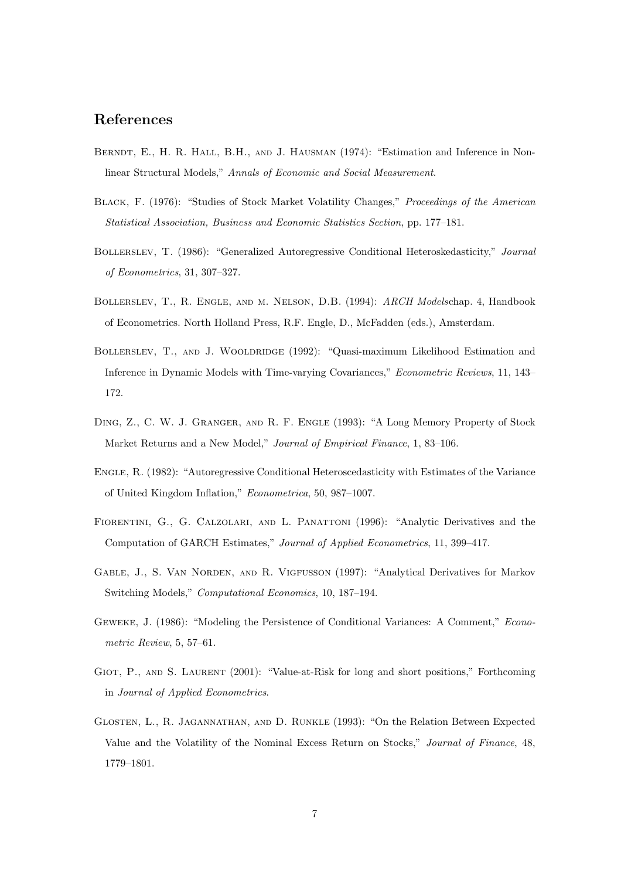#### References

- BERNDT, E., H. R. HALL, B.H., AND J. HAUSMAN (1974): "Estimation and Inference in Nonlinear Structural Models," Annals of Economic and Social Measurement.
- BLACK, F. (1976): "Studies of Stock Market Volatility Changes," Proceedings of the American Statistical Association, Business and Economic Statistics Section, pp. 177–181.
- Bollerslev, T. (1986): "Generalized Autoregressive Conditional Heteroskedasticity," Journal of Econometrics, 31, 307–327.
- Bollerslev, T., R. Engle, and m. Nelson, D.B. (1994): ARCH Modelschap. 4, Handbook of Econometrics. North Holland Press, R.F. Engle, D., McFadden (eds.), Amsterdam.
- BOLLERSLEV, T., AND J. WOOLDRIDGE (1992): "Quasi-maximum Likelihood Estimation and Inference in Dynamic Models with Time-varying Covariances," Econometric Reviews, 11, 143– 172.
- Ding, Z., C. W. J. Granger, and R. F. Engle (1993): "A Long Memory Property of Stock Market Returns and a New Model," Journal of Empirical Finance, 1, 83–106.
- Engle, R. (1982): "Autoregressive Conditional Heteroscedasticity with Estimates of the Variance of United Kingdom Inflation," Econometrica, 50, 987–1007.
- Fiorentini, G., G. Calzolari, and L. Panattoni (1996): "Analytic Derivatives and the Computation of GARCH Estimates," Journal of Applied Econometrics, 11, 399–417.
- Gable, J., S. Van Norden, and R. Vigfusson (1997): "Analytical Derivatives for Markov Switching Models," Computational Economics, 10, 187–194.
- Geweke, J. (1986): "Modeling the Persistence of Conditional Variances: A Comment," Econometric Review, 5, 57–61.
- GIOT, P., AND S. LAURENT (2001): "Value-at-Risk for long and short positions," Forthcoming in Journal of Applied Econometrics.
- Glosten, L., R. Jagannathan, and D. Runkle (1993): "On the Relation Between Expected Value and the Volatility of the Nominal Excess Return on Stocks," Journal of Finance, 48, 1779–1801.